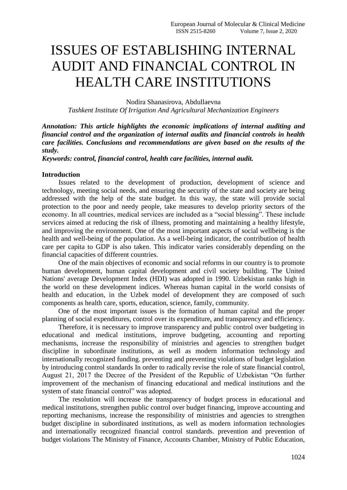# ISSUES OF ESTABLISHING INTERNAL AUDIT AND FINANCIAL CONTROL IN HEALTH CARE INSTITUTIONS

Nodira Shanasirova, Abdullaevna

*Tashkent Institute Of Irrigation And Agricultural Mechanization Engineers*

*Annotation: This article highlights the economic implications of internal auditing and financial control and the organization of internal audits and financial controls in health care facilities. Conclusions and recommendations are given based on the results of the study.*

*Keywords: control, financial control, health care facilities, internal audit.*

#### **Introduction**

Issues related to the development of production, development of science and technology, meeting social needs, and ensuring the security of the state and society are being addressed with the help of the state budget. In this way, the state will provide social protection to the poor and needy people, take measures to develop priority sectors of the economy. In all countries, medical services are included as a "social blessing". These include services aimed at reducing the risk of illness, promoting and maintaining a healthy lifestyle, and improving the environment. One of the most important aspects of social wellbeing is the health and well-being of the population. As a well-being indicator, the contribution of health care per capita to GDP is also taken. This indicator varies considerably depending on the financial capacities of different countries.

One of the main objectives of economic and social reforms in our country is to promote human development, human capital development and civil society building. The United Nations' average Development Index (HDI) was adopted in 1990. Uzbekistan ranks high in the world on these development indices. Whereas human capital in the world consists of health and education, in the Uzbek model of development they are composed of such components as health care, sports, education, science, family, community.

One of the most important issues is the formation of human capital and the proper planning of social expenditures, control over its expenditure, and transparency and efficiency.

Therefore, it is necessary to improve transparency and public control over budgeting in educational and medical institutions, improve budgeting, accounting and reporting mechanisms, increase the responsibility of ministries and agencies to strengthen budget discipline in subordinate institutions, as well as modern information technology and internationally recognized funding. preventing and preventing violations of budget legislation by introducing control standards In order to radically revise the role of state financial control, August 21, 2017 the Decree of the President of the Republic of Uzbekistan "On further improvement of the mechanism of financing educational and medical institutions and the system of state financial control" was adopted.

The resolution will increase the transparency of budget process in educational and medical institutions, strengthen public control over budget financing, improve accounting and reporting mechanisms, increase the responsibility of ministries and agencies to strengthen budget discipline in subordinated institutions, as well as modern information technologies and internationally recognized financial control standards. prevention and prevention of budget violations The Ministry of Finance, Accounts Chamber, Ministry of Public Education,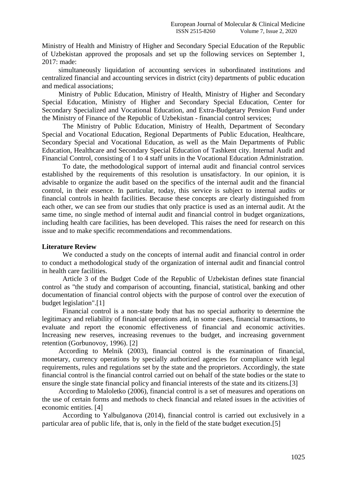Ministry of Health and Ministry of Higher and Secondary Special Education of the Republic of Uzbekistan approved the proposals and set up the following services on September 1, 2017: made:

simultaneously liquidation of accounting services in subordinated institutions and centralized financial and accounting services in district (city) departments of public education and medical associations;

Ministry of Public Education, Ministry of Health, Ministry of Higher and Secondary Special Education, Ministry of Higher and Secondary Special Education, Center for Secondary Specialized and Vocational Education, and Extra-Budgetary Pension Fund under the Ministry of Finance of the Republic of Uzbekistan - financial control services;

The Ministry of Public Education, Ministry of Health, Department of Secondary Special and Vocational Education, Regional Departments of Public Education, Healthcare, Secondary Special and Vocational Education, as well as the Main Departments of Public Education, Healthcare and Secondary Special Education of Tashkent city. Internal Audit and Financial Control, consisting of 1 to 4 staff units in the Vocational Education Administration.

To date, the methodological support of internal audit and financial control services established by the requirements of this resolution is unsatisfactory. In our opinion, it is advisable to organize the audit based on the specifics of the internal audit and the financial control, in their essence. In particular, today, this service is subject to internal audits or financial controls in health facilities. Because these concepts are clearly distinguished from each other, we can see from our studies that only practice is used as an internal audit. At the same time, no single method of internal audit and financial control in budget organizations, including health care facilities, has been developed. This raises the need for research on this issue and to make specific recommendations and recommendations.

## **Literature Review**

We conducted a study on the concepts of internal audit and financial control in order to conduct a methodological study of the organization of internal audit and financial control in health care facilities.

Article 3 of the Budget Code of the Republic of Uzbekistan defines state financial control as "the study and comparison of accounting, financial, statistical, banking and other documentation of financial control objects with the purpose of control over the execution of budget legislation".[1]

Financial control is a non-state body that has no special authority to determine the legitimacy and reliability of financial operations and, in some cases, financial transactions, to evaluate and report the economic effectiveness of financial and economic activities. Increasing new reserves, increasing revenues to the budget, and increasing government retention (Gorbunovoy, 1996). [2]

According to Melnik (2003), financial control is the examination of financial, monetary, currency operations by specially authorized agencies for compliance with legal requirements, rules and regulations set by the state and the proprietors. Accordingly, the state financial control is the financial control carried out on behalf of the state bodies or the state to ensure the single state financial policy and financial interests of the state and its citizens.[3]

According to Maloletko (2006), financial control is a set of measures and operations on the use of certain forms and methods to check financial and related issues in the activities of economic entities. [4]

According to Yalbulganova (2014), financial control is carried out exclusively in a particular area of public life, that is, only in the field of the state budget execution.[5]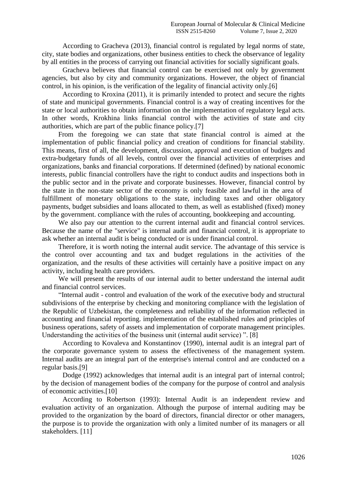According to Gracheva (2013), financial control is regulated by legal norms of state, city, state bodies and organizations, other business entities to check the observance of legality by all entities in the process of carrying out financial activities for socially significant goals.

Gracheva believes that financial control can be exercised not only by government agencies, but also by city and community organizations. However, the object of financial control, in his opinion, is the verification of the legality of financial activity only.[6]

According to Kroxina (2011), it is primarily intended to protect and secure the rights of state and municipal governments. Financial control is a way of creating incentives for the state or local authorities to obtain information on the implementation of regulatory legal acts. In other words, Krokhina links financial control with the activities of state and city authorities, which are part of the public finance policy.[7]

From the foregoing we can state that state financial control is aimed at the implementation of public financial policy and creation of conditions for financial stability. This means, first of all, the development, discussion, approval and execution of budgets and extra-budgetary funds of all levels, control over the financial activities of enterprises and organizations, banks and financial corporations. If determined (defined) by national economic interests, public financial controllers have the right to conduct audits and inspections both in the public sector and in the private and corporate businesses. However, financial control by the state in the non-state sector of the economy is only feasible and lawful in the area of fulfillment of monetary obligations to the state, including taxes and other obligatory payments, budget subsidies and loans allocated to them, as well as established (fixed) money by the government. compliance with the rules of accounting, bookkeeping and accounting.

We also pay our attention to the current internal audit and financial control services. Because the name of the "service" is internal audit and financial control, it is appropriate to ask whether an internal audit is being conducted or is under financial control.

Therefore, it is worth noting the internal audit service. The advantage of this service is the control over accounting and tax and budget regulations in the activities of the organization, and the results of these activities will certainly have a positive impact on any activity, including health care providers.

We will present the results of our internal audit to better understand the internal audit and financial control services.

"Internal audit - control and evaluation of the work of the executive body and structural subdivisions of the enterprise by checking and monitoring compliance with the legislation of the Republic of Uzbekistan, the completeness and reliability of the information reflected in accounting and financial reporting. implementation of the established rules and principles of business operations, safety of assets and implementation of corporate management principles. Understanding the activities of the business unit (internal audit service) ". [8]

According to Kovaleva and Konstantinov (1990), internal audit is an integral part of the corporate governance system to assess the effectiveness of the management system. Internal audits are an integral part of the enterprise's internal control and are conducted on a regular basis.[9]

Dodge (1992) acknowledges that internal audit is an integral part of internal control; by the decision of management bodies of the company for the purpose of control and analysis of economic activities.[10]

According to Robertson (1993): Internal Audit is an independent review and evaluation activity of an organization. Although the purpose of internal auditing may be provided to the organization by the board of directors, financial director or other managers, the purpose is to provide the organization with only a limited number of its managers or all stakeholders. [11]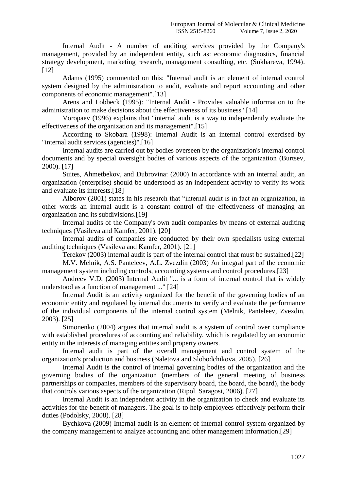Internal Audit - A number of auditing services provided by the Company's management, provided by an independent entity, such as: economic diagnostics, financial strategy development, marketing research, management consulting, etc. (Sukhareva, 1994). [12]

Adams (1995) commented on this: "Internal audit is an element of internal control system designed by the administration to audit, evaluate and report accounting and other components of economic management".[13]

Arens and Lobbeck (1995): "Internal Audit - Provides valuable information to the administration to make decisions about the effectiveness of its business".[14]

Voropaev (1996) explains that "internal audit is a way to independently evaluate the effectiveness of the organization and its management".[15]

According to Skobara (1998): Internal Audit is an internal control exercised by "internal audit services (agencies)".[16]

Internal audits are carried out by bodies overseen by the organization's internal control documents and by special oversight bodies of various aspects of the organization (Burtsev, 2000). [17]

Suites, Ahmetbekov, and Dubrovina: (2000) In accordance with an internal audit, an organization (enterprise) should be understood as an independent activity to verify its work and evaluate its interests.[18]

Alborov (2001) states in his research that "internal audit is in fact an organization, in other words an internal audit is a constant control of the effectiveness of managing an organization and its subdivisions.[19]

Internal audits of the Company's own audit companies by means of external auditing techniques (Vasileva and Kamfer, 2001). [20]

Internal audits of companies are conducted by their own specialists using external auditing techniques (Vasileva and Kamfer, 2001). [21]

Terekov (2003) internal audit is part of the internal control that must be sustained.[22]

M.V. Melnik, A.S. Panteleev, A.L. Zvezdin (2003) An integral part of the economic management system including controls, accounting systems and control procedures.[23]

Andreev V.D. (2003) Internal Audit "... is a form of internal control that is widely understood as a function of management ..." [24]

Internal Audit is an activity organized for the benefit of the governing bodies of an economic entity and regulated by internal documents to verify and evaluate the performance of the individual components of the internal control system (Melnik, Panteleev, Zvezdin, 2003). [25]

Simonenko (2004) argues that internal audit is a system of control over compliance with established procedures of accounting and reliability, which is regulated by an economic entity in the interests of managing entities and property owners.

Internal audit is part of the overall management and control system of the organization's production and business (Naletova and Slobodchikova, 2005). [26]

Internal Audit is the control of internal governing bodies of the organization and the governing bodies of the organization (members of the general meeting of business partnerships or companies, members of the supervisory board, the board, the board), the body that controls various aspects of the organization (Ripol. Saragosi, 2006). [27]

Internal Audit is an independent activity in the organization to check and evaluate its activities for the benefit of managers. The goal is to help employees effectively perform their duties (Podolsky, 2008). [28]

Bychkova (2009) Internal audit is an element of internal control system organized by the company management to analyze accounting and other management information.[29]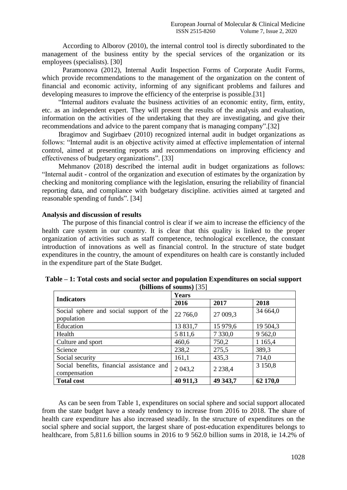According to Alborov (2010), the internal control tool is directly subordinated to the management of the business entity by the special services of the organization or its employees (specialists). [30]

Paramonova (2012), Internal Audit Inspection Forms of Corporate Audit Forms, which provide recommendations to the management of the organization on the content of financial and economic activity, informing of any significant problems and failures and developing measures to improve the efficiency of the enterprise is possible.[31]

"Internal auditors evaluate the business activities of an economic entity, firm, entity, etc. as an independent expert. They will present the results of the analysis and evaluation, information on the activities of the undertaking that they are investigating, and give their recommendations and advice to the parent company that is managing company".[32]

Ibragimov and Sugirbaev (2010) recognized internal audit in budget organizations as follows: "Internal audit is an objective activity aimed at effective implementation of internal control, aimed at presenting reports and recommendations on improving efficiency and effectiveness of budgetary organizations". [33]

Mehmanov (2018) described the internal audit in budget organizations as follows: "Internal audit - control of the organization and execution of estimates by the organization by checking and monitoring compliance with the legislation, ensuring the reliability of financial reporting data, and compliance with budgetary discipline. activities aimed at targeted and reasonable spending of funds". [34]

## **Analysis and discussion of results**

The purpose of this financial control is clear if we aim to increase the efficiency of the health care system in our country. It is clear that this quality is linked to the proper organization of activities such as staff competence, technological excellence, the constant introduction of innovations as well as financial control. In the structure of state budget expenditures in the country, the amount of expenditures on health care is constantly included in the expenditure part of the State Budget.

| <b>Indicators</b>                                         | Years    |             |             |
|-----------------------------------------------------------|----------|-------------|-------------|
|                                                           | 2016     | 2017        | 2018        |
| Social sphere and social support of the<br>population     | 22 766,0 | 27 009,3    | 34 664,0    |
| Education                                                 | 13 831,7 | 15 979,6    | 19 504,3    |
| Health                                                    | 5 811,6  | 7 3 3 0 , 0 | 9 5 6 2,0   |
| Culture and sport                                         | 460,6    | 750,2       | 1 1 65,4    |
| Science                                                   | 238,2    | 275,5       | 389,3       |
| Social security                                           | 161,1    | 435,3       | 714,0       |
| Social benefits, financial assistance and<br>compensation | 2 043,2  | 2 2 3 8 , 4 | 3 1 5 0 , 8 |
| <b>Total cost</b>                                         | 40 911,3 | 49 343,7    | 62 170,0    |

**Table – 1: Total costs and social sector and population Expenditures on social support (billions of soums)** [35]

As can be seen from Table 1, expenditures on social sphere and social support allocated from the state budget have a steady tendency to increase from 2016 to 2018. The share of health care expenditure has also increased steadily. In the structure of expenditures on the social sphere and social support, the largest share of post-education expenditures belongs to healthcare, from 5,811.6 billion soums in 2016 to 9 562.0 billion sums in 2018, ie 14.2% of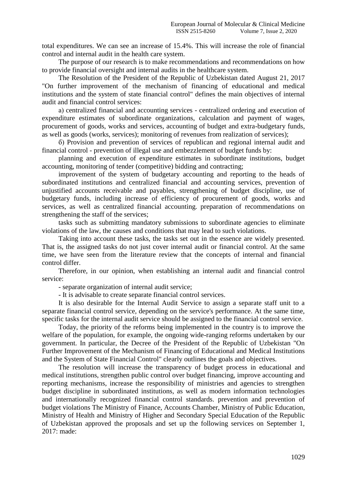total expenditures. We can see an increase of 15.4%. This will increase the role of financial control and internal audit in the health care system.

The purpose of our research is to make recommendations and recommendations on how to provide financial oversight and internal audits in the healthcare system.

The Resolution of the President of the Republic of Uzbekistan dated August 21, 2017 "On further improvement of the mechanism of financing of educational and medical institutions and the system of state financial control" defines the main objectives of internal audit and financial control services:

а) centralized financial and accounting services - centralized ordering and execution of expenditure estimates of subordinate organizations, calculation and payment of wages, procurement of goods, works and services, accounting of budget and extra-budgetary funds, as well as goods (works, services); monitoring of revenues from realization of services);

б) Provision and prevention of services of republican and regional internal audit and financial control - prevention of illegal use and embezzlement of budget funds by:

planning and execution of expenditure estimates in subordinate institutions, budget accounting, monitoring of tender (competitive) bidding and contracting;

improvement of the system of budgetary accounting and reporting to the heads of subordinated institutions and centralized financial and accounting services, prevention of unjustified accounts receivable and payables, strengthening of budget discipline, use of budgetary funds, including increase of efficiency of procurement of goods, works and services, as well as centralized financial accounting. preparation of recommendations on strengthening the staff of the services;

tasks such as submitting mandatory submissions to subordinate agencies to eliminate violations of the law, the causes and conditions that may lead to such violations.

Taking into account these tasks, the tasks set out in the essence are widely presented. That is, the assigned tasks do not just cover internal audit or financial control. At the same time, we have seen from the literature review that the concepts of internal and financial control differ.

Therefore, in our opinion, when establishing an internal audit and financial control service:

- separate organization of internal audit service;

- It is advisable to create separate financial control services.

It is also desirable for the Internal Audit Service to assign a separate staff unit to a separate financial control service, depending on the service's performance. At the same time, specific tasks for the internal audit service should be assigned to the financial control service.

Today, the priority of the reforms being implemented in the country is to improve the welfare of the population, for example, the ongoing wide-ranging reforms undertaken by our government. In particular, the Decree of the President of the Republic of Uzbekistan "On Further Improvement of the Mechanism of Financing of Educational and Medical Institutions and the System of State Financial Control" clearly outlines the goals and objectives.

The resolution will increase the transparency of budget process in educational and medical institutions, strengthen public control over budget financing, improve accounting and reporting mechanisms, increase the responsibility of ministries and agencies to strengthen budget discipline in subordinated institutions, as well as modern information technologies and internationally recognized financial control standards. prevention and prevention of budget violations The Ministry of Finance, Accounts Chamber, Ministry of Public Education, Ministry of Health and Ministry of Higher and Secondary Special Education of the Republic of Uzbekistan approved the proposals and set up the following services on September 1, 2017: made: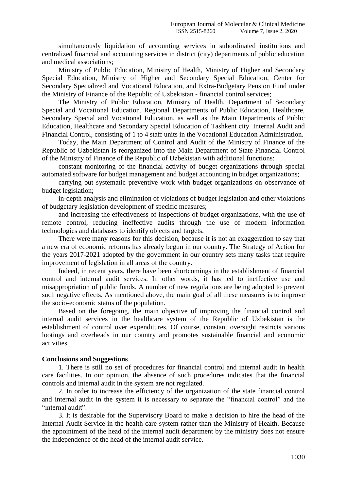simultaneously liquidation of accounting services in subordinated institutions and centralized financial and accounting services in district (city) departments of public education and medical associations;

Ministry of Public Education, Ministry of Health, Ministry of Higher and Secondary Special Education, Ministry of Higher and Secondary Special Education, Center for Secondary Specialized and Vocational Education, and Extra-Budgetary Pension Fund under the Ministry of Finance of the Republic of Uzbekistan - financial control services;

The Ministry of Public Education, Ministry of Health, Department of Secondary Special and Vocational Education, Regional Departments of Public Education, Healthcare, Secondary Special and Vocational Education, as well as the Main Departments of Public Education, Healthcare and Secondary Special Education of Tashkent city. Internal Audit and Financial Control, consisting of 1 to 4 staff units in the Vocational Education Administration.

Today, the Main Department of Control and Audit of the Ministry of Finance of the Republic of Uzbekistan is reorganized into the Main Department of State Financial Control of the Ministry of Finance of the Republic of Uzbekistan with additional functions:

constant monitoring of the financial activity of budget organizations through special automated software for budget management and budget accounting in budget organizations;

carrying out systematic preventive work with budget organizations on observance of budget legislation;

in-depth analysis and elimination of violations of budget legislation and other violations of budgetary legislation development of specific measures;

and increasing the effectiveness of inspections of budget organizations, with the use of remote control, reducing ineffective audits through the use of modern information technologies and databases to identify objects and targets.

There were many reasons for this decision, because it is not an exaggeration to say that a new era of economic reforms has already begun in our country. The Strategy of Action for the years 2017-2021 adopted by the government in our country sets many tasks that require improvement of legislation in all areas of the country.

Indeed, in recent years, there have been shortcomings in the establishment of financial control and internal audit services. In other words, it has led to ineffective use and misappropriation of public funds. A number of new regulations are being adopted to prevent such negative effects. As mentioned above, the main goal of all these measures is to improve the socio-economic status of the population.

Based on the foregoing, the main objective of improving the financial control and internal audit services in the healthcare system of the Republic of Uzbekistan is the establishment of control over expenditures. Of course, constant oversight restricts various lootings and overheads in our country and promotes sustainable financial and economic activities.

### **Conclusions and Suggestions**

1. There is still no set of procedures for financial control and internal audit in health care facilities. In our opinion, the absence of such procedures indicates that the financial controls and internal audit in the system are not regulated.

2. In order to increase the efficiency of the organization of the state financial control and internal audit in the system it is necessary to separate the "financial control" and the "internal audit".

3. It is desirable for the Supervisory Board to make a decision to hire the head of the Internal Audit Service in the health care system rather than the Ministry of Health. Because the appointment of the head of the internal audit department by the ministry does not ensure the independence of the head of the internal audit service.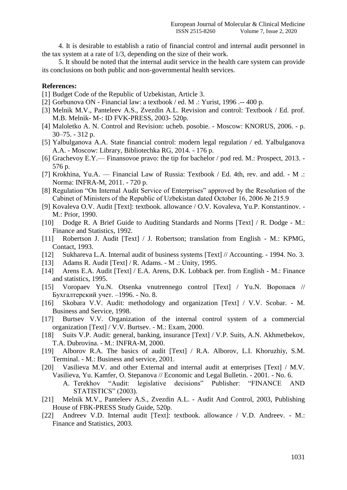4. It is desirable to establish a ratio of financial control and internal audit personnel in the tax system at a rate of 1/3, depending on the size of their work.

5. It should be noted that the internal audit service in the health care system can provide its conclusions on both public and non-governmental health services.

## **References:**

- [1] Budget Code of the Republic of Uzbekistan, Article 3.
- [2] Gorbunova ON Financial law: a textbook / ed. M .: Yurist, 1996 .-- 400 p.
- [3] Melnik M.V., Panteleev A.S., Zvezdin A.L. Revision and control: Textbook / Ed. prof. M.B. Melnik- M-: ID FVK-PRESS, 2003- 520p.
- [4] Maloletko A. N. Control and Revision: ucheb. posobie. Moscow: KNORUS, 2006. p. 30–75. - 312 p.
- [5] Yalbulganova A.A. State financial control: modern legal regulation / ed. Yalbulganova A.A. - Moscow: Library, Bibliotechka RG, 2014. - 176 p.
- [6] Grachevoy E.Y.— Finansovoe pravo: the tip for bachelor / pod red. M.: Prospect, 2013. 576 p.
- [7] Krokhina, Yu.A. Financial Law of Russia: Textbook / Ed. 4th, rev. and add. M .: Norma: INFRA-M, 2011. - 720 p.
- [8] Regulation "On Internal Audit Service of Enterprises" approved by the Resolution of the Cabinet of Ministers of the Republic of Uzbekistan dated October 16, 2006 № 215.9
- [9] Kovaleva O.V. Audit [Text]: textbook. allowance / O.V. Kovaleva, Yu.P. Konstantinov. M.: Prior, 1990.
- [10] Dodge R. A Brief Guide to Auditing Standards and Norms [Text] / R. Dodge M.: Finance and Statistics, 1992.
- [11] Robertson J. Audit [Text] / J. Robertson; translation from English M.: KPMG, Contact, 1993.
- [12] Sukhareva L.A. Internal audit of business systems [Text] // Accounting. 1994. No. 3.
- [13] Adams R. Audit [Text] / R. Adams. M .: Unity, 1995.
- [14] Arens E.A. Audit [Text] / E.A. Arens, D.K. Lobback per. from English M.: Finance and statistics, 1995.
- [15] Voropaev Yu.N. Otsenka vnutrennego control [Text] / Yu.N. Воропаев // Бухгалтерский учет. –1996. - No. 8.
- [16] Skobara V.V. Audit: methodology and organization [Text] / V.V. Scobar. M. Business and Service, 1998.
- [17] Burtsev V.V. Organization of the internal control system of a commercial organization [Text] / V.V. Burtsev. - M.: Exam, 2000.
- [18] Suits V.P. Audit: general, banking, insurance [Text] / V.P. Suits, A.N. Akhmetbekov, T.A. Dubrovina. - M.: INFRA-M, 2000.
- [19] Alborov R.A. The basics of audit [Text] / R.A. Alborov, L.I. Khoruzhiy, S.M. Terminal. - M.: Business and service, 2001.
- [20] Vasilieva M.V. and other External and internal audit at enterprises [Text] / M.V. Vasilieva, Yu. Kamfer, O. Stepanova // Economic and Legal Bulletin. - 2001. - No. 6. A. Terekhov "Audit: legislative decisions" Publisher: "FINANCE AND STATISTICS" (2003).
- [21] Melnik M.V., Panteleev A.S., Zvezdin A.L. Audit And Control, 2003, Publishing House of FBK-PRESS Study Guide, 520p.
- [22] Andreev V.D. Internal audit [Text]: textbook. allowance / V.D. Andreev. M.: Finance and Statistics, 2003.